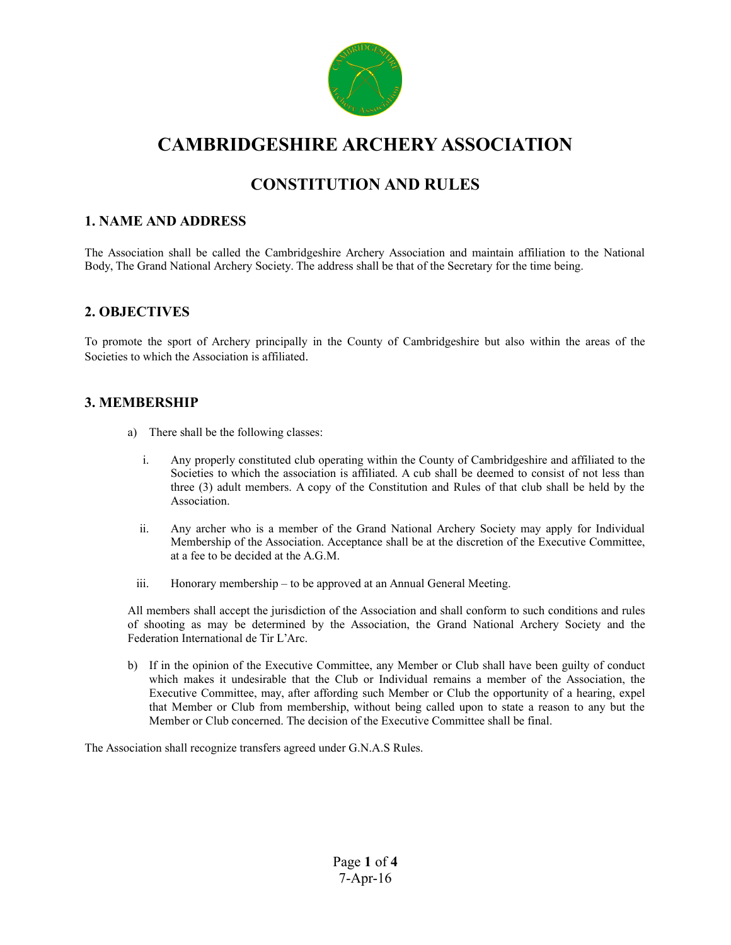

# **CAMBRIDGESHIRE ARCHERY ASSOCIATION**

# **CONSTITUTION AND RULES**

#### **1. NAME AND ADDRESS**

The Association shall be called the Cambridgeshire Archery Association and maintain affiliation to the National Body, The Grand National Archery Society. The address shall be that of the Secretary for the time being.

#### **2. OBJECTIVES**

To promote the sport of Archery principally in the County of Cambridgeshire but also within the areas of the Societies to which the Association is affiliated.

#### **3. MEMBERSHIP**

- a) There shall be the following classes:
	- i. Any properly constituted club operating within the County of Cambridgeshire and affiliated to the Societies to which the association is affiliated. A cub shall be deemed to consist of not less than three (3) adult members. A copy of the Constitution and Rules of that club shall be held by the Association.
	- ii. Any archer who is a member of the Grand National Archery Society may apply for Individual Membership of the Association. Acceptance shall be at the discretion of the Executive Committee, at a fee to be decided at the A.G.M.
	- iii. Honorary membership to be approved at an Annual General Meeting.

All members shall accept the jurisdiction of the Association and shall conform to such conditions and rules of shooting as may be determined by the Association, the Grand National Archery Society and the Federation International de Tir L'Arc.

b) If in the opinion of the Executive Committee, any Member or Club shall have been guilty of conduct which makes it undesirable that the Club or Individual remains a member of the Association, the Executive Committee, may, after affording such Member or Club the opportunity of a hearing, expel that Member or Club from membership, without being called upon to state a reason to any but the Member or Club concerned. The decision of the Executive Committee shall be final.

The Association shall recognize transfers agreed under G.N.A.S Rules.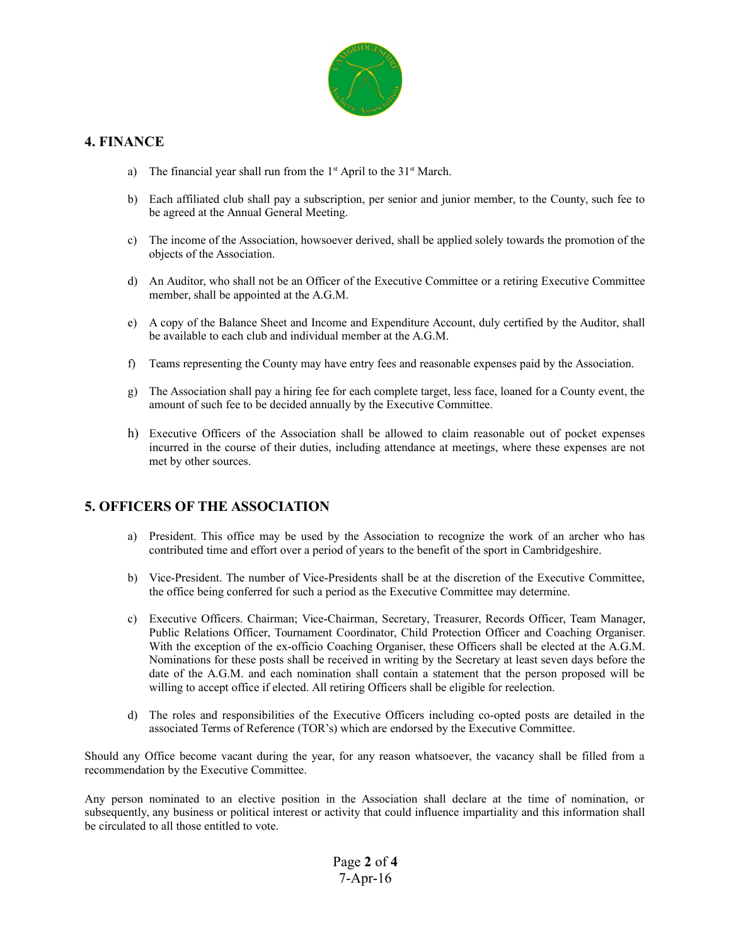

### **4. FINANCE**

- a) The financial year shall run from the  $1<sup>st</sup>$  April to the  $31<sup>st</sup>$  March.
- b) Each affiliated club shall pay a subscription, per senior and junior member, to the County, such fee to be agreed at the Annual General Meeting.
- c) The income of the Association, howsoever derived, shall be applied solely towards the promotion of the objects of the Association.
- d) An Auditor, who shall not be an Officer of the Executive Committee or a retiring Executive Committee member, shall be appointed at the A.G.M.
- e) A copy of the Balance Sheet and Income and Expenditure Account, duly certified by the Auditor, shall be available to each club and individual member at the A.G.M.
- f) Teams representing the County may have entry fees and reasonable expenses paid by the Association.
- g) The Association shall pay a hiring fee for each complete target, less face, loaned for a County event, the amount of such fee to be decided annually by the Executive Committee.
- h) Executive Officers of the Association shall be allowed to claim reasonable out of pocket expenses incurred in the course of their duties, including attendance at meetings, where these expenses are not met by other sources.

#### **5. OFFICERS OF THE ASSOCIATION**

- a) President. This office may be used by the Association to recognize the work of an archer who has contributed time and effort over a period of years to the benefit of the sport in Cambridgeshire.
- b) Vice-President. The number of Vice-Presidents shall be at the discretion of the Executive Committee, the office being conferred for such a period as the Executive Committee may determine.
- c) Executive Officers. Chairman; Vice-Chairman, Secretary, Treasurer, Records Officer, Team Manager, Public Relations Officer, Tournament Coordinator, Child Protection Officer and Coaching Organiser. With the exception of the ex-officio Coaching Organiser, these Officers shall be elected at the A.G.M. Nominations for these posts shall be received in writing by the Secretary at least seven days before the date of the A.G.M. and each nomination shall contain a statement that the person proposed will be willing to accept office if elected. All retiring Officers shall be eligible for reelection.
- d) The roles and responsibilities of the Executive Officers including co-opted posts are detailed in the associated Terms of Reference (TOR's) which are endorsed by the Executive Committee.

Should any Office become vacant during the year, for any reason whatsoever, the vacancy shall be filled from a recommendation by the Executive Committee.

Any person nominated to an elective position in the Association shall declare at the time of nomination, or subsequently, any business or political interest or activity that could influence impartiality and this information shall be circulated to all those entitled to vote.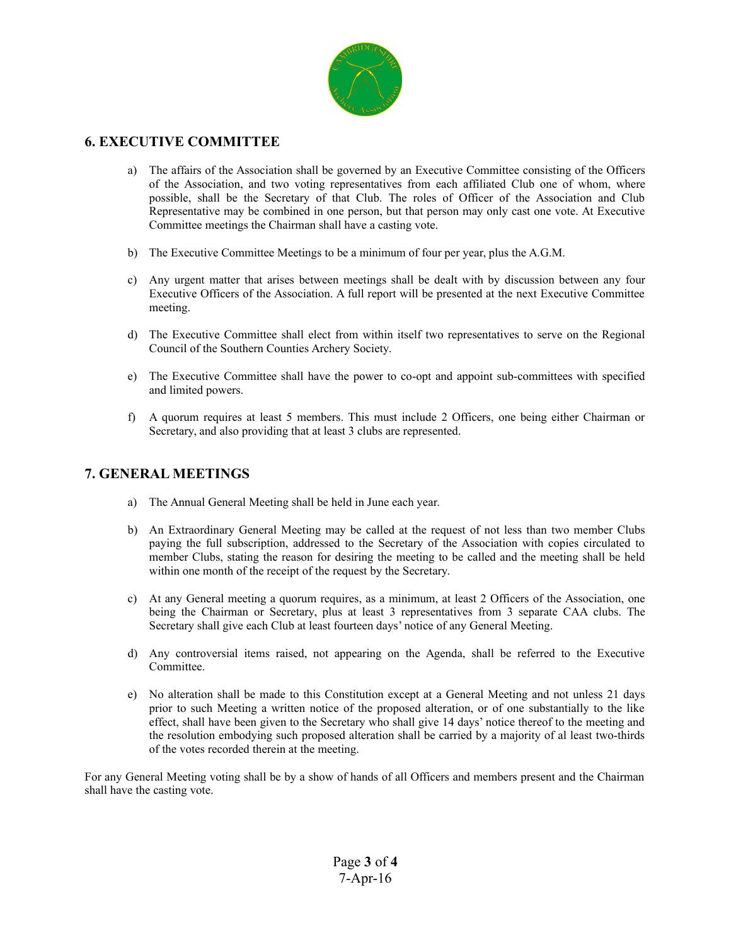

# **6. EXECUTIVE COMMITTEE**

- a) The affairs of the Association shall be governed by an Executive Committee consisting of the Officers of the Association, and two voting representatives from each affiliated Club one of whom, where possible, shall be the Secretary of that Club. The roles of Officer of the Association and Club Representative may be combined in one person, but that person may only cast one vote. At Executive Committee meetings the Chairman shall have a casting vote.
- b) The Executive Committee Meetings to be a minimum of four per year, plus the A.G.M.
- c) Any urgent matter that arises between meetings shall be dealt with by discussion between any four Executive Officers of the Association. A full report will be presented at the next Executive Committee meeting.
- d) The Executive Committee shall elect from within itself two representatives to serve on the Regional Council of the Southern Counties Archery Society.
- e) The Executive Committee shall have the power to co-opt and appoint sub-committees with specified and limited powers.
- f) A quorum requires at least 5 members. This must include 2 Officers, one being either Chairman or Secretary, and also providing that at least 3 clubs are represented.

#### **7. GENERAL MEETINGS**

- a) The Annual General Meeting shall be held in June each year.
- b) An Extraordinary General Meeting may be called at the request of not less than two member Clubs paying the full subscription, addressed to the Secretary of the Association with copies circulated to member Clubs, stating the reason for desiring the meeting to be called and the meeting shall be held within one month of the receipt of the request by the Secretary.
- c) At any General meeting a quorum requires, as a minimum, at least 2 Officers of the Association, one being the Chairman or Secretary, plus at least 3 representatives from 3 separate CAA clubs. The Secretary shall give each Club at least fourteen days' notice of any General Meeting.
- d) Any controversial items raised, not appearing on the Agenda, shall be referred to the Executive Committee.
- e) No alteration shall be made to this Constitution except at a General Meeting and not unless 21 days prior to such Meeting a written notice of the proposed alteration, or of one substantially to the like effect, shall have been given to the Secretary who shall give 14 days' notice thereof to the meeting and the resolution embodying such proposed alteration shall be carried by a majority of al least two-thirds of the votes recorded therein at the meeting.

For any General Meeting voting shall be by a show of hands of all Officers and members present and the Chairman shall have the casting vote.